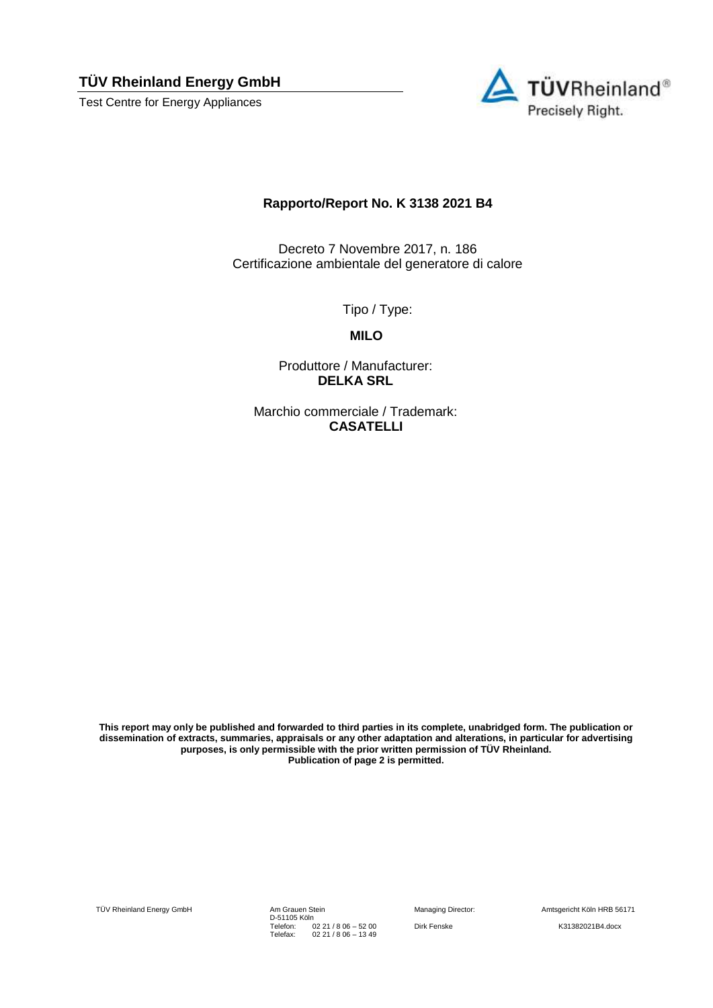**TÜV Rheinland Energy GmbH** 

Test Centre for Energy Appliances



## **Rapporto/Report No. K 3138 2021 B4**

Decreto 7 Novembre 2017, n. 186 Certificazione ambientale del generatore di calore

Tipo / Type:

**MILO**

Produttore / Manufacturer: **DELKA SRL**

Marchio commerciale / Trademark: **CASATELLI**

**This report may only be published and forwarded to third parties in its complete, unabridged form. The publication or dissemination of extracts, summaries, appraisals or any other adaptation and alterations, in particular for advertising purposes, is only permissible with the prior written permission of TÜV Rheinland. Publication of page 2 is permitted.**

TÜV Rheinland Energy GmbH Am Grauen Stein

D-51105 Köln Telefon: Telefax: 02 21 / 8 06 – 52 00 02 21 / 8 06 – 13 49

Managing Director: Amtsgericht Köln HRB 56171

Dirk Fenske K31382021B4.docx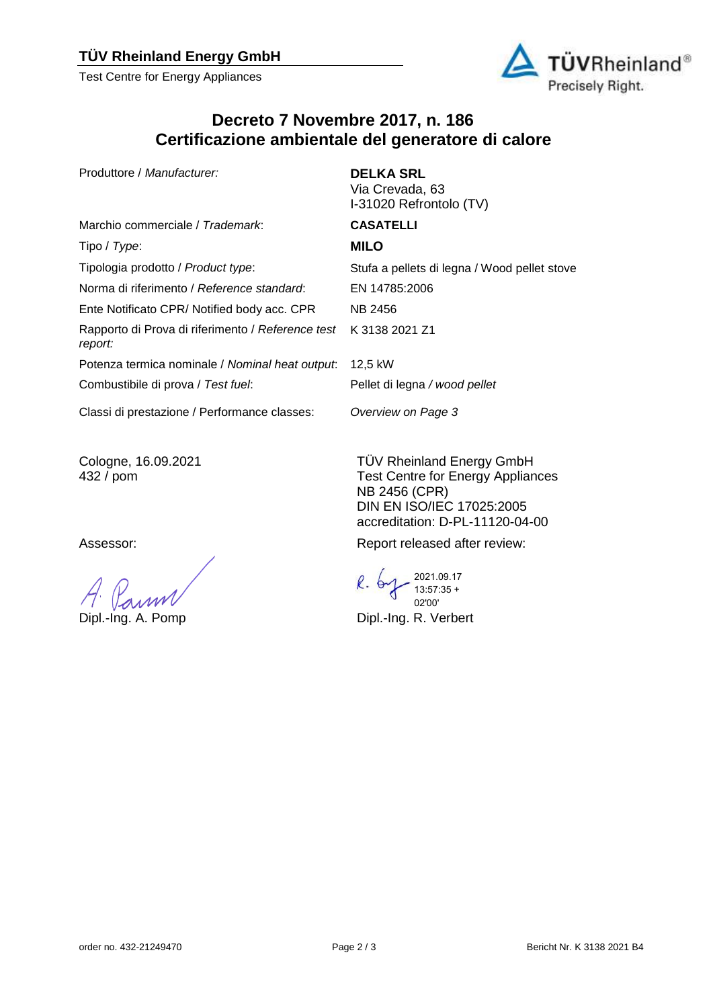## **TÜV Rheinland Energy GmbH**

Test Centre for Energy Appliances



## **Decreto 7 Novembre 2017, n. 186 Certificazione ambientale del generatore di calore**

Produttore / *Manufacturer:* **DELKA SRL**

Marchio commerciale / *Trademark*: **CASATELLI** Tipo / *Type*: **MILO** Tipologia prodotto / *Product type*: Stufa a pellets di legna / Wood pellet stove Norma di riferimento / *Reference standard*: EN 14785:2006 Ente Notificato CPR/ Notified body acc. CPR NB 2456 Rapporto di Prova di riferimento / *Reference test report:* Potenza termica nominale / *Nominal heat output*: 12,5 kW Combustibile di prova / *Test fuel*:

I-31020 Refrontolo (TV)

Via Crevada, 63

K 3138 2021 Z1

Pellet di legna */ wood pellet*

*Overview on Page 3*

Classi di prestazione / Performance classes:

Cologne, 16.09.2021 432 / pom

TÜV Rheinland Energy GmbH Test Centre for Energy Appliances NB 2456 (CPR) DIN EN ISO/IEC 17025:2005 accreditation: D-PL-11120-04-00

Assessor: Assessor: Assessor: Report released after review: